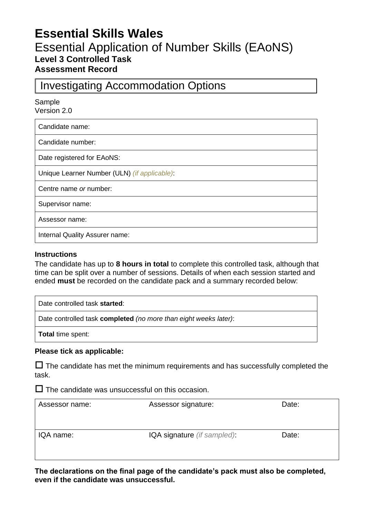# **Essential Skills Wales** Essential Application of Number Skills (EAoNS) **Level 3 Controlled Task Assessment Record**

## Investigating Accommodation Options

Sample

Version 2.0

Candidate name:

Candidate number:

Date registered for EAoNS:

Unique Learner Number (ULN) *(if applicable)*:

Centre name *or* number:

Supervisor name:

Assessor name:

Internal Quality Assurer name:

#### **Instructions**

The candidate has up to **8 hours in total** to complete this controlled task, although that time can be split over a number of sessions. Details of when each session started and ended **must** be recorded on the candidate pack and a summary recorded below:

Date controlled task **started**:

Date controlled task **completed** *(no more than eight weeks later)*:

**Total** time spent:

#### **Please tick as applicable:**

 $\Box$  The candidate has met the minimum requirements and has successfully completed the task.

 $\square$  The candidate was unsuccessful on this occasion.

| Assessor name: | Assessor signature:         | Date: |
|----------------|-----------------------------|-------|
|                |                             |       |
| IQA name:      | IQA signature (if sampled): | Date: |
|                |                             |       |

**The declarations on the final page of the candidate's pack must also be completed, even if the candidate was unsuccessful.**